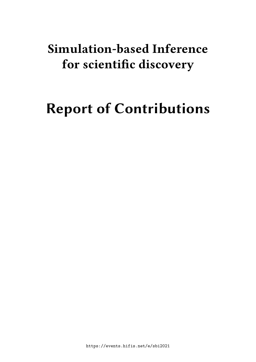# **Simulation-based Inference for scientific discovery**

# **Report of Contributions**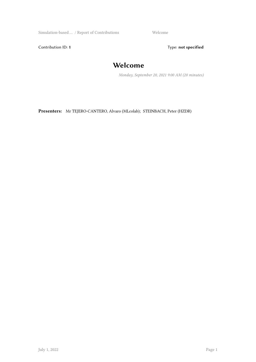Simulation-based ... / Report of Contributions Welcome

Contribution ID: 1 Type: **not specified** 

#### **Welcome**

*Monday, September 20, 2021 9:00 AM (20 minutes)*

**Presenters:** Mr TEJERO-CANTERO, Alvaro (MLcolab); STEINBACH, Peter (HZDR)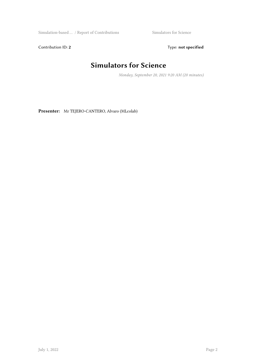$\begin{minipage}[c]{0.9\linewidth} \begin{tabular}{l} \bf Simulations & \bf Simulators for Science \\ \end{tabular} \end{minipage}$ 

Contribution ID: 2 Type: **not specified** 

## **Simulators for Science**

*Monday, September 20, 2021 9:20 AM (20 minutes)*

**Presenter:** Mr TEJERO-CANTERO, Alvaro (MLcolab)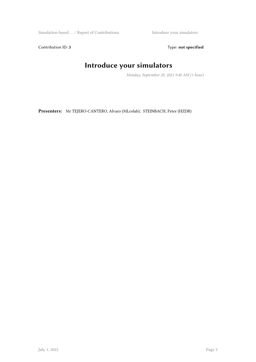Simulation-based … / Report of Contributions Introduce your simulators

Contribution ID: 3 Type: **not specified** 

# **Introduce your simulators**

*Monday, September 20, 2021 9:40 AM (1 hour)*

**Presenters:** Mr TEJERO-CANTERO, Alvaro (MLcolab); STEINBACH, Peter (HZDR)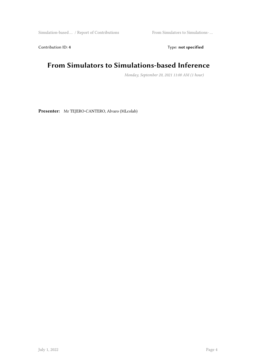Simulation-based … / Report of Contributions From Simulators to Simulations- …

Contribution ID: 4 Type: **not specified** 

#### **From Simulators to Simulations-based Inference**

*Monday, September 20, 2021 11:00 AM (1 hour)*

**Presenter:** Mr TEJERO-CANTERO, Alvaro (MLcolab)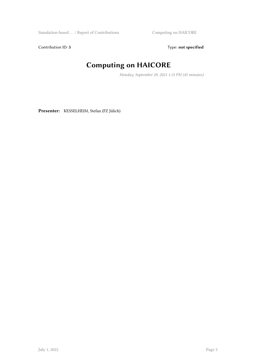Simulation-based … / Report of Contributions Computing on HAICORE

Contribution ID: 5 Type: **not specified** 

# **Computing on HAICORE**

*Monday, September 20, 2021 1:15 PM (45 minutes)*

**Presenter:** KESSELHEIM, Stefan (FZ Jülich)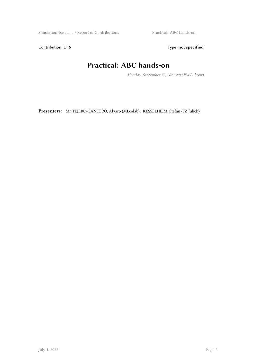Simulation-based … / Report of Contributions Practical: ABC hands-on

Contribution ID: 6 Type: not specified

## **Practical: ABC hands-on**

*Monday, September 20, 2021 2:00 PM (1 hour)*

**Presenters:** Mr TEJERO-CANTERO, Alvaro (MLcolab); KESSELHEIM, Stefan (FZ Jülich)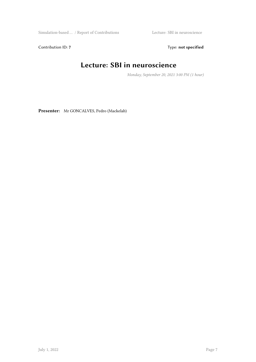Simulation-based … / Report of Contributions Lecture: SBI in neuroscience

Contribution ID: 7 Type: **not specified** 

#### **Lecture: SBI in neuroscience**

*Monday, September 20, 2021 3:00 PM (1 hour)*

**Presenter:** Mr GONCALVES, Pedro (Mackelab)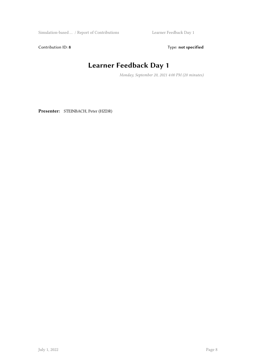Simulation-based … / Report of Contributions Learner Feedback Day 1

Contribution ID: 8 Type: **not specified** 

#### **Learner Feedback Day 1**

*Monday, September 20, 2021 4:00 PM (20 minutes)*

**Presenter:** STEINBACH, Peter (HZDR)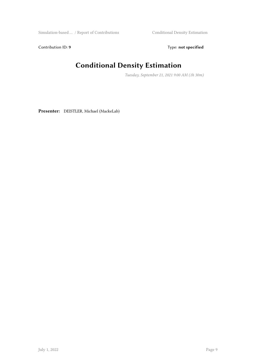Simulation-based … / Report of Contributions Conditional Density Estimation

Contribution ID: 9 Type: **not specified** 

#### **Conditional Density Estimation**

*Tuesday, September 21, 2021 9:00 AM (1h 30m)*

**Presenter:** DEISTLER, Michael (MackeLab)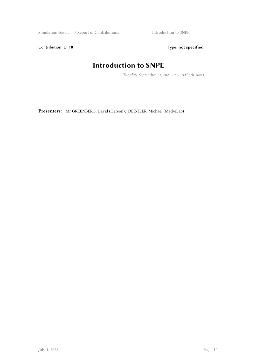Simulation-based … / Report of Contributions Introduction to SNPE

Contribution ID: 10 **Type:** not specified

### **Introduction to SNPE**

*Tuesday, September 21, 2021 10:30 AM (1h 30m)*

**Presenters:** Mr GREENBERG, David (Hereon); DEISTLER, Michael (MackeLab)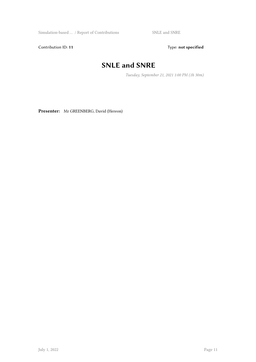Simulation-based … / Report of Contributions SNLE and SNRE

Contribution ID: 11 Type: **not specified** 

## **SNLE and SNRE**

*Tuesday, September 21, 2021 1:00 PM (1h 30m)*

**Presenter:** Mr GREENBERG, David (Hereon)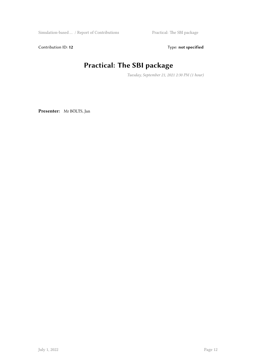Simulation-based … / Report of Contributions Practical: The SBI package

Contribution ID: 12 Type: **not specified** 

#### **Practical: The SBI package**

*Tuesday, September 21, 2021 2:30 PM (1 hour)*

**Presenter:** Mr BÖLTS, Jan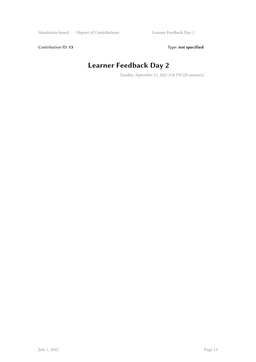Contribution ID: 13 Type: **not specified** 

# **Learner Feedback Day 2**

*Tuesday, September 21, 2021 3:30 PM (20 minutes)*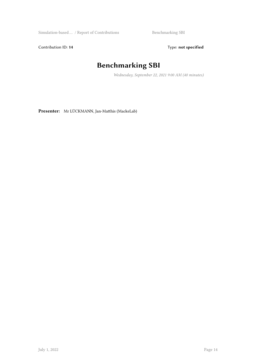$\begin{minipage}[c]{0.9\linewidth} \begin{tabular}{l} \bf Simulation-based \dots / Report of Contributions \\ \end{tabular} \end{minipage} \begin{minipage}[c]{0.9\linewidth} \begin{tabular}{l} \bf Symulation-based \dots / Report of Contributions \\ \end{tabular} \end{minipage}$ 

Contribution ID: 14 Type: **not specified** 

# **Benchmarking SBI**

*Wednesday, September 22, 2021 9:00 AM (40 minutes)*

**Presenter:** Mr LÜCKMANN, Jan-Matthis (MackeLab)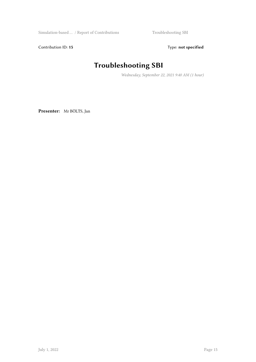Simulation-based … / Report of Contributions Troubleshooting SBI

Contribution ID: 15 Type: **not specified** 

# **Troubleshooting SBI**

*Wednesday, September 22, 2021 9:40 AM (1 hour)*

**Presenter:** Mr BÖLTS, Jan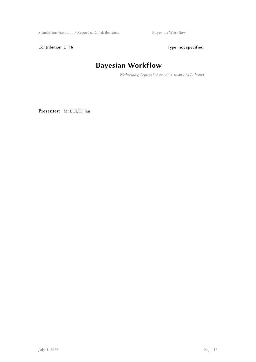$\begin{minipage}[c]{0.9\linewidth} \begin{tabular}{l} \multicolumn{2}{l}{{\bf视}}{\bf M} & \multicolumn{2}{l}{\bf S} & \multicolumn{2}{l}{\bf Bayesian Workflow} \end{tabular} \end{minipage}$ 

Contribution ID: 16 Type: not specified

#### **Bayesian Workflow**

*Wednesday, September 22, 2021 10:40 AM (1 hour)*

**Presenter:** Mr BÖLTS, Jan